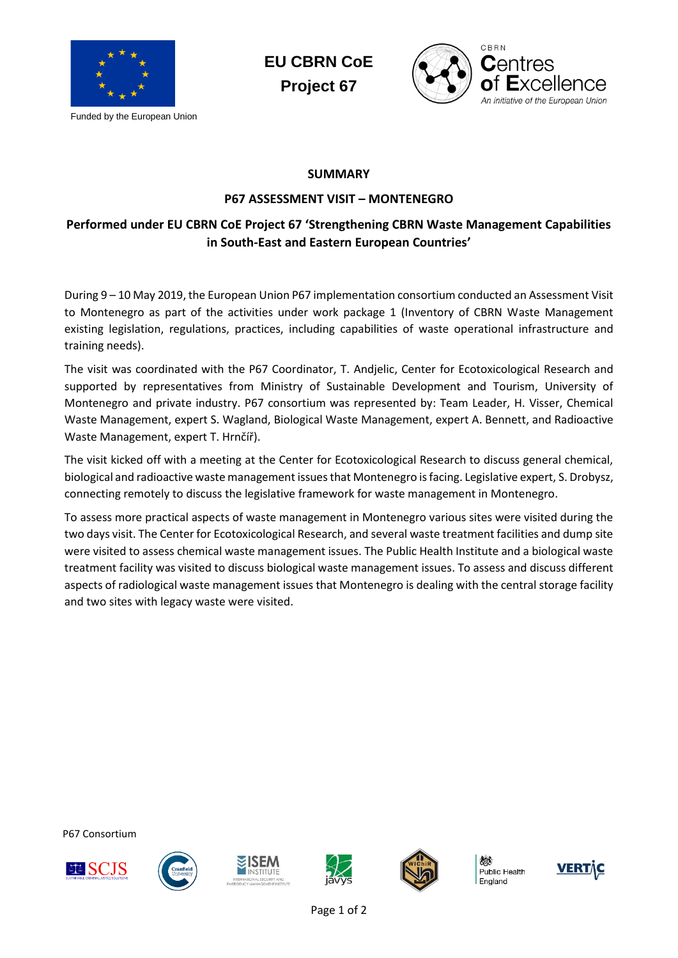

Funded by the European Union





## **SUMMARY**

## **P67 ASSESSMENT VISIT – MONTENEGRO**

## **Performed under EU CBRN CoE Project 67 'Strengthening CBRN Waste Management Capabilities in South-East and Eastern European Countries'**

During 9 – 10 May 2019, the European Union P67 implementation consortium conducted an Assessment Visit to Montenegro as part of the activities under work package 1 (Inventory of CBRN Waste Management existing legislation, regulations, practices, including capabilities of waste operational infrastructure and training needs).

The visit was coordinated with the P67 Coordinator, T. Andjelic, Center for Ecotoxicological Research and supported by representatives from Ministry of Sustainable Development and Tourism, University of Montenegro and private industry. P67 consortium was represented by: Team Leader, H. Visser, Chemical Waste Management, expert S. Wagland, Biological Waste Management, expert A. Bennett, and Radioactive Waste Management, expert T. Hrnčíř).

The visit kicked off with a meeting at the Center for Ecotoxicological Research to discuss general chemical, biological and radioactive waste management issues that Montenegro is facing. Legislative expert, S. Drobysz, connecting remotely to discuss the legislative framework for waste management in Montenegro.

To assess more practical aspects of waste management in Montenegro various sites were visited during the two days visit. The Center for Ecotoxicological Research, and several waste treatment facilities and dump site were visited to assess chemical waste management issues. The Public Health Institute and a biological waste treatment facility was visited to discuss biological waste management issues. To assess and discuss different aspects of radiological waste management issues that Montenegro is dealing with the central storage facility and two sites with legacy waste were visited.

P67 Consortium











Public Health England